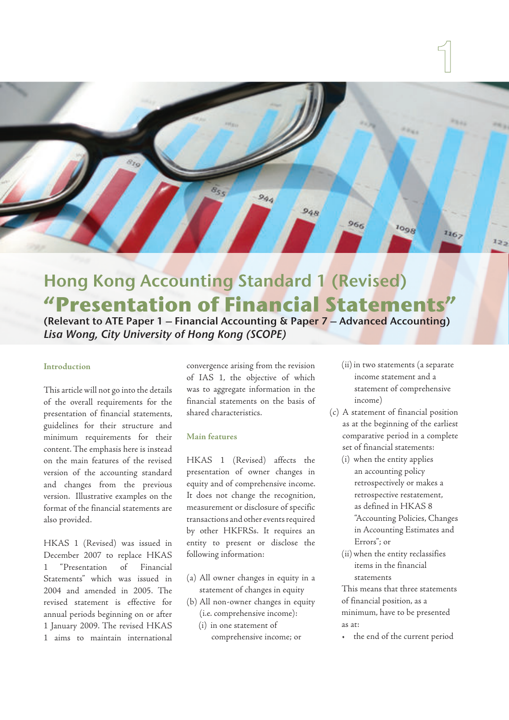

# Hong Kong Accounting Standard 1 (Revised) **"Presentation of Financial Statements"**

(Relevant to ATE Paper 1 – Financial Accounting & Paper 7 – Advanced Accounting) Lisa Wong, City University of Hong Kong (SCOPE)

## **Introduction**

This article will not go into the details of the overall requirements for the presentation of financial statements, guidelines for their structure and minimum requirements for their content. The emphasis here is instead on the main features of the revised version of the accounting standard and changes from the previous version. Illustrative examples on the format of the financial statements are also provided.

HKAS 1 (Revised) was issued in December 2007 to replace HKAS 1 "Presentation of Financial Statements" which was issued in 2004 and amended in 2005. The revised statement is effective for annual periods beginning on or after 1 January 2009. The revised HKAS 1 aims to maintain international convergence arising from the revision of IAS 1, the objective of which was to aggregate information in the financial statements on the basis of shared characteristics.

## **Main features**

HKAS 1 (Revised) affects the presentation of owner changes in equity and of comprehensive income. It does not change the recognition, measurement or disclosure of specific transactions and other events required by other HKFRSs. It requires an entity to present or disclose the following information:

- (a) All owner changes in equity in a statement of changes in equity
- (b) All non-owner changes in equity (i.e. comprehensive income):
	- (i) in one statement of

comprehensive income; or

- (ii) in two statements (a separate income statement and a statement of comprehensive income)
- (c) A statement of financial position as at the beginning of the earliest comparative period in a complete set of financial statements:
	- (i) when the entity applies an accounting policy retrospectively or makes a retrospective restatement, as defined in HKAS 8 "Accounting Policies, Changes in Accounting Estimates and Errors"; or
	- (ii) when the entity reclassifies items in the financial statements

This means that three statements of financial position, as a minimum, have to be presented as at:

• the end of the current period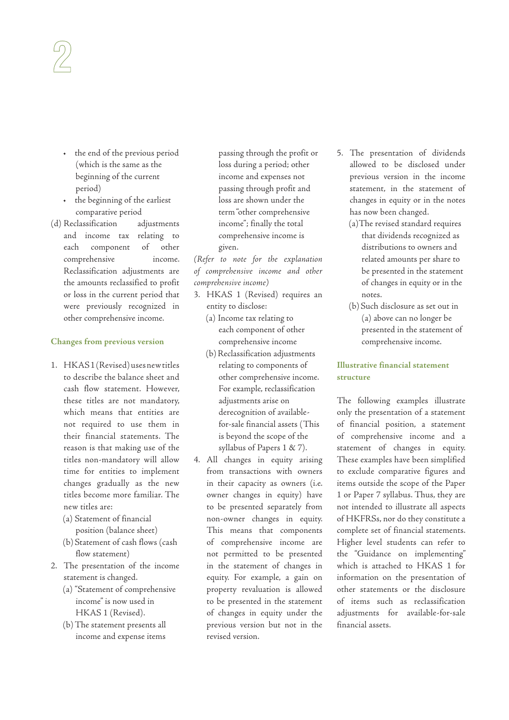- the end of the previous period (which is the same as the beginning of the current period)
- the beginning of the earliest comparative period
- (d) Reclassification adjustments and income tax relating to each component of other comprehensive income. Reclassification adjustments are the amounts reclassified to profit or loss in the current period that were previously recognized in other comprehensive income.

#### **Changes from previous version**

- 1. HKAS 1 (Revised) uses new titles to describe the balance sheet and cash flow statement. However, these titles are not mandatory, which means that entities are not required to use them in their financial statements. The reason is that making use of the titles non-mandatory will allow time for entities to implement changes gradually as the new titles become more familiar. The new titles are:
	- (a) Statement of financial position (balance sheet)
	- (b) Statement of cash flows (cash flow statement)
- 2. The presentation of the income statement is changed.
	- (a) "Statement of comprehensive income" is now used in HKAS 1 (Revised).
	- (b) The statement presents all income and expense items

passing through the profit or loss during a period; other income and expenses not passing through profit and loss are shown under the term "other comprehensive income"; finally the total comprehensive income is given.

(Refer to note for the explanation of comprehensive income and other comprehensive income)

- 3. HKAS 1 (Revised) requires an entity to disclose:
	- (a) Income tax relating to each component of other comprehensive income
	- (b) Reclassification adjustments relating to components of other comprehensive income. For example, reclassification adjustments arise on derecognition of availablefor-sale financial assets (This is beyond the scope of the syllabus of Papers 1 & 7).
- 4. All changes in equity arising from transactions with owners in their capacity as owners (i.e. owner changes in equity) have to be presented separately from non-owner changes in equity. This means that components of comprehensive income are not permitted to be presented in the statement of changes in equity. For example, a gain on property revaluation is allowed to be presented in the statement of changes in equity under the previous version but not in the revised version.
- 5. The presentation of dividends allowed to be disclosed under previous version in the income statement, in the statement of changes in equity or in the notes has now been changed.
	- (a)The revised standard requires that dividends recognized as distributions to owners and related amounts per share to be presented in the statement of changes in equity or in the notes.
	- (b) Such disclosure as set out in (a) above can no longer be presented in the statement of comprehensive income.

## **Illustrative financial statement structure**

The following examples illustrate only the presentation of a statement of financial position, a statement of comprehensive income and a statement of changes in equity. These examples have been simplified to exclude comparative figures and items outside the scope of the Paper 1 or Paper 7 syllabus. Thus, they are not intended to illustrate all aspects of HKFRSs, nor do they constitute a complete set of financial statements. Higher level students can refer to the "Guidance on implementing" which is attached to HKAS 1 for information on the presentation of other statements or the disclosure of items such as reclassification adjustments for available-for-sale financial assets.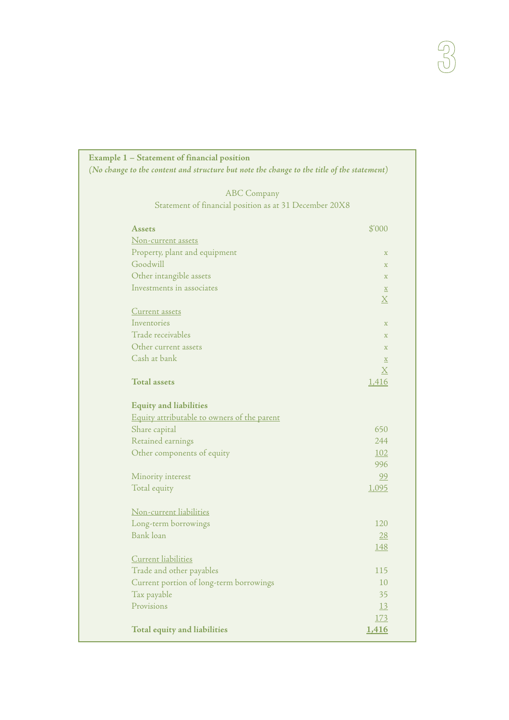| Example 1 – Statement of financial position<br>(No change to the content and structure but note the change to the title of the statement) |                           |
|-------------------------------------------------------------------------------------------------------------------------------------------|---------------------------|
| <b>ABC</b> Company                                                                                                                        |                           |
| Statement of financial position as at 31 December 20X8                                                                                    |                           |
| <b>Assets</b>                                                                                                                             | \$'000                    |
| <u>Non-current assets</u>                                                                                                                 |                           |
| Property, plant and equipment                                                                                                             | $\boldsymbol{\mathrm{X}}$ |
| Goodwill                                                                                                                                  | $\mathbf X$               |
| Other intangible assets                                                                                                                   | $\boldsymbol{\mathrm{X}}$ |
| Investments in associates                                                                                                                 | $\underline{\mathbf{X}}$  |
|                                                                                                                                           | $\underline{X}$           |
| Current assets                                                                                                                            |                           |
| Inventories                                                                                                                               | $\mathbf X$               |
| Trade receivables                                                                                                                         | $\boldsymbol{\mathrm{X}}$ |
| Other current assets                                                                                                                      | $\mathbf X$               |
| Cash at bank                                                                                                                              | $\underline{x}$           |
|                                                                                                                                           | $\underline{X}$           |
| <b>Total assets</b>                                                                                                                       | 1,416                     |
|                                                                                                                                           |                           |
| <b>Equity and liabilities</b>                                                                                                             |                           |
| Equity attributable to owners of the parent                                                                                               |                           |
| Share capital                                                                                                                             | 650                       |
| Retained earnings                                                                                                                         | 244                       |
| Other components of equity                                                                                                                | 102                       |
|                                                                                                                                           | 996                       |
| Minority interest                                                                                                                         | 99                        |
| Total equity                                                                                                                              | 1,095                     |
|                                                                                                                                           |                           |
| Non-current liabilities                                                                                                                   |                           |
| Long-term borrowings                                                                                                                      | 120                       |
| Bank loan                                                                                                                                 | 28                        |
|                                                                                                                                           | <u> 148</u>               |
| Current liabilities                                                                                                                       |                           |
| Trade and other payables                                                                                                                  | 115                       |
| Current portion of long-term borrowings                                                                                                   | 10                        |
| Tax payable                                                                                                                               | 35                        |
| Provisions                                                                                                                                | 13                        |
|                                                                                                                                           | 173                       |
| Total equity and liabilities                                                                                                              | 1,416                     |

 $\begin{picture}(42,10) \put(0,0){\vector(0,1){10}} \put(15,0){\vector(0,1){10}} \put(15,0){\vector(0,1){10}} \put(15,0){\vector(0,1){10}} \put(15,0){\vector(0,1){10}} \put(15,0){\vector(0,1){10}} \put(15,0){\vector(0,1){10}} \put(15,0){\vector(0,1){10}} \put(15,0){\vector(0,1){10}} \put(15,0){\vector(0,1){10}} \put(15,0){\vector(0,1){10}} \put(15,0){\vector(0$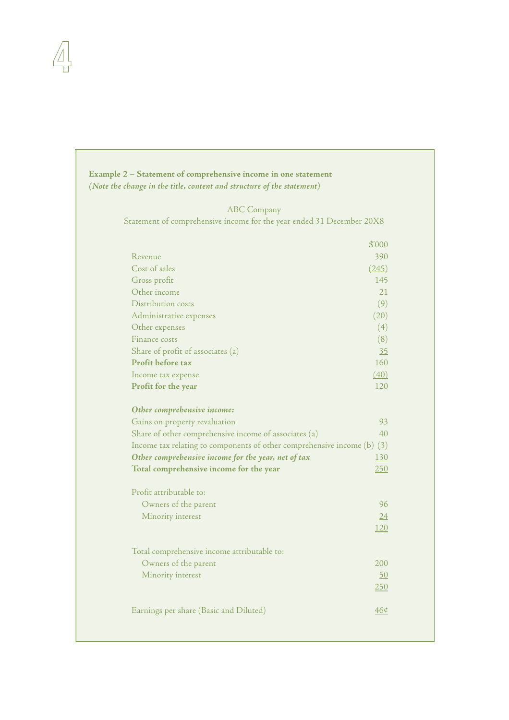| Example 2 – Statement of comprehensive income in one statement<br>(Note the change in the title, content and structure of the statement) |            |
|------------------------------------------------------------------------------------------------------------------------------------------|------------|
| <b>ABC</b> Company                                                                                                                       |            |
| Statement of comprehensive income for the year ended 31 December 20X8                                                                    |            |
|                                                                                                                                          |            |
|                                                                                                                                          | \$'000     |
| Revenue<br>Cost of sales                                                                                                                 | 390        |
|                                                                                                                                          | (245)      |
| Gross profit                                                                                                                             | 145        |
| Other income                                                                                                                             | 21         |
| Distribution costs                                                                                                                       | (9)        |
| Administrative expenses                                                                                                                  | (20)       |
| Other expenses                                                                                                                           | (4)        |
| Finance costs                                                                                                                            | (8)        |
| Share of profit of associates (a)                                                                                                        | 35         |
| Profit before tax                                                                                                                        | 160        |
| Income tax expense                                                                                                                       | (40)       |
| Profit for the year                                                                                                                      | 120        |
| Other comprehensive income:                                                                                                              |            |
| Gains on property revaluation                                                                                                            | 93         |
| Share of other comprehensive income of associates (a)                                                                                    | 40         |
| Income tax relating to components of other comprehensive income $(b)$ $(3)$                                                              |            |
| Other comprehensive income for the year, net of tax                                                                                      | <u>130</u> |
| Total comprehensive income for the year                                                                                                  | 250        |
| Profit attributable to:                                                                                                                  |            |
|                                                                                                                                          | 96         |
| Owners of the parent                                                                                                                     |            |
| Minority interest                                                                                                                        | 24<br>120  |
|                                                                                                                                          |            |
| Total comprehensive income attributable to:                                                                                              |            |
| Owners of the parent                                                                                                                     | 200        |
| Minority interest                                                                                                                        | 50         |
|                                                                                                                                          | 250        |
| Earnings per share (Basic and Diluted)                                                                                                   | 460        |
|                                                                                                                                          |            |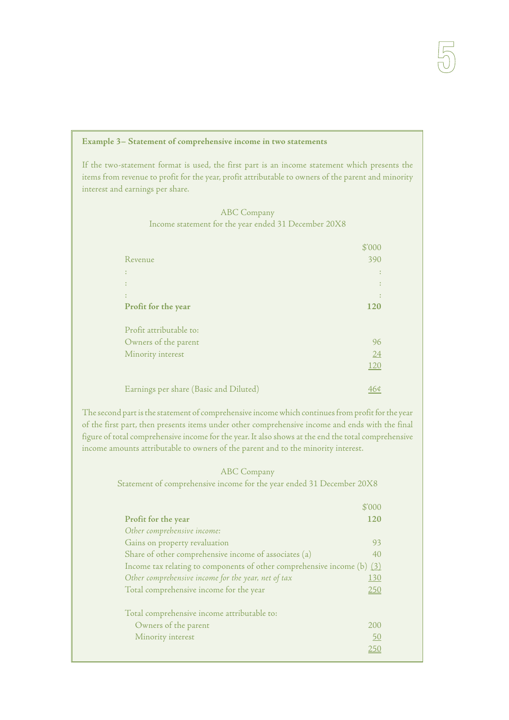## **Example 3– Statement of comprehensive income in two statements**

If the two-statement format is used, the first part is an income statement which presents the items from revenue to profit for the year, profit attributable to owners of the parent and minority interest and earnings per share.

|                                                      | <b>ABC Company</b> |  |
|------------------------------------------------------|--------------------|--|
| Income statement for the year ended 31 December 20X8 |                    |  |

|                                        | \$'000     |
|----------------------------------------|------------|
| Revenue                                | 390        |
|                                        |            |
|                                        |            |
|                                        |            |
| Profit for the year                    | <b>120</b> |
|                                        |            |
| Profit attributable to:                |            |
| Owners of the parent                   | 96         |
| Minority interest                      | 24         |
|                                        | <u>120</u> |
|                                        |            |
| Earnings per share (Basic and Diluted) |            |

The second part is the statement of comprehensive income which continues from profit for the year of the first part, then presents items under other comprehensive income and ends with the final figure of total comprehensive income for the year. It also shows at the end the total comprehensive income amounts attributable to owners of the parent and to the minority interest.

## ABC Company

Statement of comprehensive income for the year ended 31 December 20X8

|                                                                           | \$'000 |
|---------------------------------------------------------------------------|--------|
| Profit for the year                                                       | 120    |
| Other comprehensive income:                                               |        |
| Gains on property revaluation                                             | 93     |
| Share of other comprehensive income of associates (a)                     | 40     |
| Income tax relating to components of other comprehensive income (b) $(3)$ |        |
| Other comprehensive income for the year, net of tax                       | 130    |
| Total comprehensive income for the year                                   | 250    |
| Total comprehensive income attributable to:                               |        |
| Owners of the parent                                                      | 2.00   |
| Minority interest                                                         | 50     |
|                                                                           | 250    |
|                                                                           |        |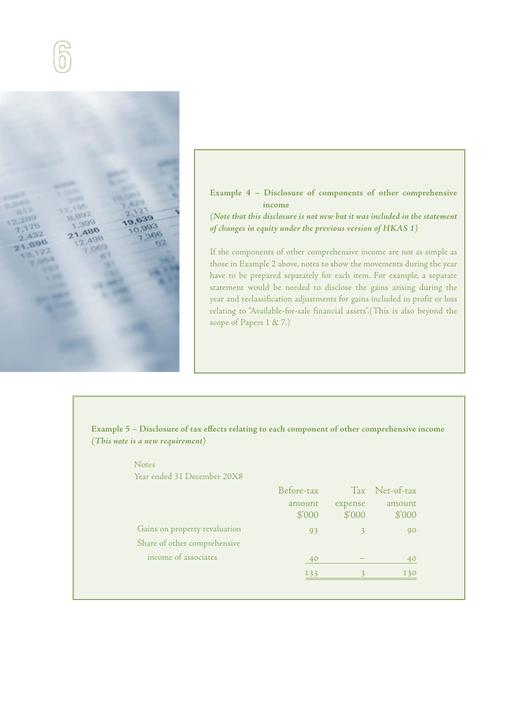

**Example 4 – Disclosure of components of other comprehensive income**

**(Note that this disclosure is not new but it was included in the statement of changes in equity under the previous version of HKAS 1)**

If the components of other comprehensive income are not as simple as those in Example 2 above, notes to show the movements during the year have to be prepared separately for each item. For example, a separate statement would be needed to disclose the gains arising during the year and reclassification adjustments for gains included in profit or loss relating to "Available-for-sale financial assets".(This is also beyond the scope of Papers 1 & 7.)

**Example 5 – Disclosure of tax effects relating to each component of other comprehensive income (This note is a new requirement)** 

## Notes

Year ended 31 December 20X8

|                               | Before-tax       |                            | Tax Net-of-tax   |
|-------------------------------|------------------|----------------------------|------------------|
|                               | amount<br>\$'000 | expense<br>$$^{\prime}000$ | amount<br>\$'000 |
| Gains on property revaluation | 93               |                            | 90               |
| Share of other comprehensive  |                  |                            |                  |
| income of associates          | 40               |                            | 40               |
|                               | <b>I33</b>       |                            | <b>I30</b>       |
|                               |                  |                            |                  |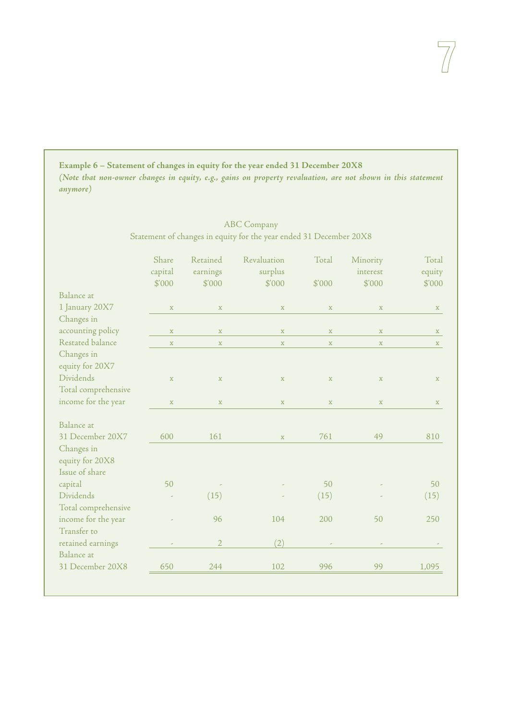**Example 6 – Statement of changes in equity for the year ended 31 December 20X8 (Note that non-owner changes in equity, e.g., gains on property revaluation, are not shown in this statement anymore)**

## ABC Company Statement of changes in equity for the year ended 31 December 20X8

|                     | Share<br>capital | Retained<br>earnings | Revaluation<br>surplus | Total       | Minority<br>interest | Total<br>equity |
|---------------------|------------------|----------------------|------------------------|-------------|----------------------|-----------------|
|                     | \$'000           | \$'000               | \$'000                 | \$'000      | \$'000               | \$'000          |
| Balance at          |                  |                      |                        |             |                      |                 |
| 1 January 20X7      | $\mathbf X$      | $\mathbf X$          | $\mathbf X$            | $\mathbf X$ | $\mathbf X$          | $\mathbf X$     |
| Changes in          |                  |                      |                        |             |                      |                 |
| accounting policy   | $\mathbf X$      | $\mathbf X$          | $\mathbf X$            | $\mathbf X$ | $\mathbf X$          | X               |
| Restated balance    | $\mathbf X$      | $\mathbf X$          | $\mathbf X$            | $\mathbf X$ | $\mathbf X$          | $\mathbf x$     |
| Changes in          |                  |                      |                        |             |                      |                 |
| equity for 20X7     |                  |                      |                        |             |                      |                 |
| Dividends           | $\mathbf X$      | $\mathbf X$          | $\mathbf X$            | $\mathbf X$ | $\mathbf X$          | $\mathbf X$     |
| Total comprehensive |                  |                      |                        |             |                      |                 |
| income for the year | $\mathbf{x}$     | $\mathbf X$          | $\mathbf X$            | $\mathbf X$ | $\mathbf X$          | X               |
|                     |                  |                      |                        |             |                      |                 |
| Balance at          |                  |                      |                        |             |                      |                 |
| 31 December 20X7    | 600              | 161                  | $\mathbf X$            | 761         | 49                   | 810             |
| Changes in          |                  |                      |                        |             |                      |                 |
| equity for 20X8     |                  |                      |                        |             |                      |                 |
| Issue of share      |                  |                      |                        |             |                      |                 |
| capital             | 50               |                      |                        | 50          |                      | 50              |
| Dividends           |                  | (15)                 |                        | (15)        |                      | (15)            |
| Total comprehensive |                  |                      |                        |             |                      |                 |
| income for the year |                  | 96                   | 104                    | 200         | 50                   | 250             |
| Transfer to         |                  |                      |                        |             |                      |                 |
| retained earnings   |                  | $\overline{2}$       | (2)                    |             |                      |                 |
| Balance at          |                  |                      |                        |             |                      |                 |
| 31 December 20X8    | 650              | 244                  | 102                    | 996         | 99                   | 1,095           |
|                     |                  |                      |                        |             |                      |                 |